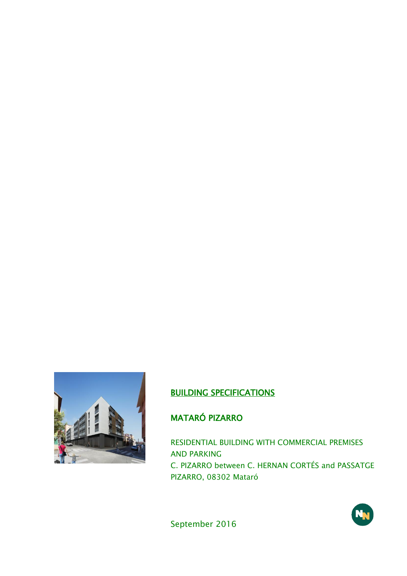

## BUILDING SPECIFICATIONS

# MATARÓ PIZARRO

RESIDENTIAL BUILDING WITH COMMERCIAL PREMISES AND PARKING C. PIZARRO between C. HERNAN CORTÉS and PASSATGE PIZARRO, 08302 Mataró

September 2016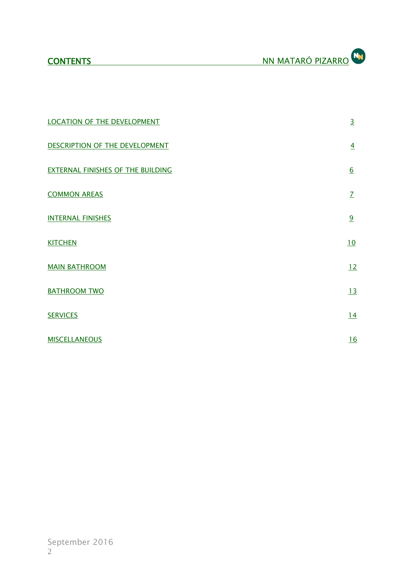| <b>LOCATION OF THE DEVELOPMENT</b>       | $\overline{3}$   |
|------------------------------------------|------------------|
| DESCRIPTION OF THE DEVELOPMENT           | $\overline{4}$   |
| <b>EXTERNAL FINISHES OF THE BUILDING</b> | $6 \overline{6}$ |
| <b>COMMON AREAS</b>                      | $\overline{L}$   |
| <b>INTERNAL FINISHES</b>                 | 9                |
| <b>KITCHEN</b>                           | 10               |
| <b>MAIN BATHROOM</b>                     | 12               |
| <b>BATHROOM TWO</b>                      | 13               |
| <b>SERVICES</b>                          | 14               |
| <b>MISCELLANEOUS</b>                     | 16               |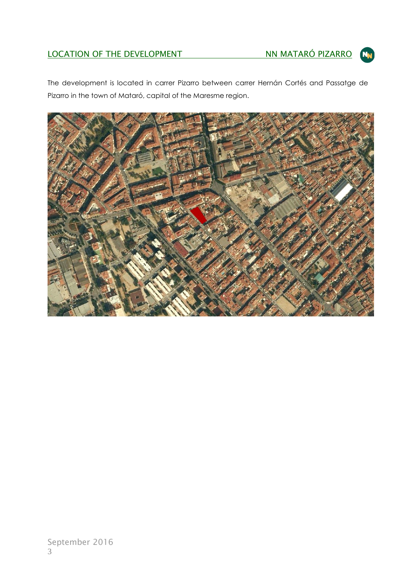# LOCATION OF THE DEVELOPMENT NN MATARÓ PIZARRO



The development is located in carrer Pizarro between carrer Hernán Cortés and Passatge de Pizarro in the town of Mataró, capital of the Maresme region.

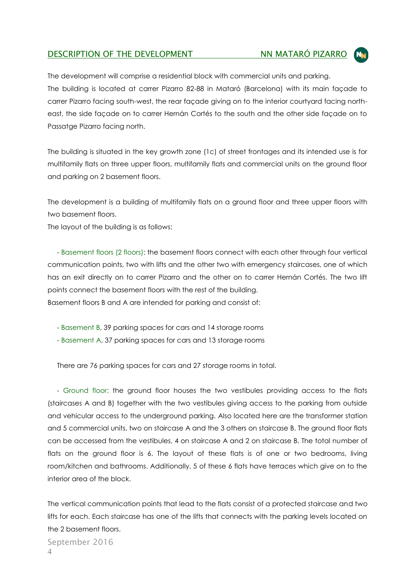### DESCRIPTION OF THE DEVELOPMENT NN MATARÓ PIZARRO

The development will comprise a residential block with commercial units and parking. The building is located at carrer Pizarro 82-88 in Mataró (Barcelona) with its main façade to carrer Pizarro facing south-west, the rear façade giving on to the interior courtyard facing northeast, the side façade on to carrer Hernán Cortés to the south and the other side façade on to Passatge Pizarro facing north.

The building is situated in the key growth zone (1c) of street frontages and its intended use is for multifamily flats on three upper floors, multifamily flats and commercial units on the ground floor and parking on 2 basement floors.

The development is a building of multifamily flats on a ground floor and three upper floors with two basement floors.

The layout of the building is as follows:

 - Basement floors (2 floors): the basement floors connect with each other through four vertical communication points, two with lifts and the other two with emergency staircases, one of which has an exit directly on to carrer Pizarro and the other on to carrer Hernán Cortés. The two lift points connect the basement floors with the rest of the building. Basement floors B and A are intended for parking and consist of:

- Basement B, 39 parking spaces for cars and 14 storage rooms
- Basement A, 37 parking spaces for cars and 13 storage rooms

There are 76 parking spaces for cars and 27 storage rooms in total.

 - Ground floor: the ground floor houses the two vestibules providing access to the flats (staircases A and B) together with the two vestibules giving access to the parking from outside and vehicular access to the underground parking. Also located here are the transformer station and 5 commercial units, two on staircase A and the 3 others on staircase B. The ground floor flats can be accessed from the vestibules, 4 on staircase A and 2 on staircase B. The total number of flats on the ground floor is 6. The layout of these flats is of one or two bedrooms, living room/kitchen and bathrooms. Additionally, 5 of these 6 flats have terraces which give on to the interior area of the block.

The vertical communication points that lead to the flats consist of a protected staircase and two lifts for each. Each staircase has one of the lifts that connects with the parking levels located on the 2 basement floors.

September 2016 4

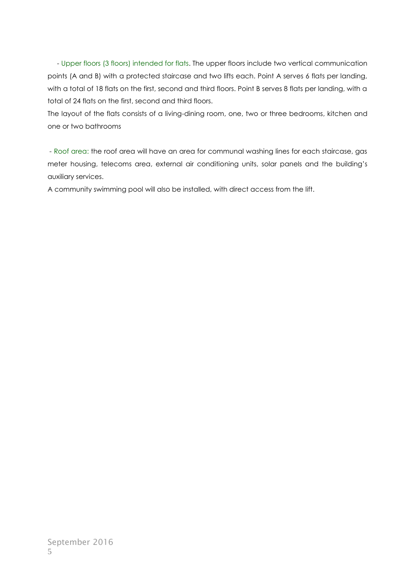- Upper floors (3 floors) intended for flats. The upper floors include two vertical communication points (A and B) with a protected staircase and two lifts each. Point A serves 6 flats per landing, with a total of 18 flats on the first, second and third floors. Point B serves 8 flats per landing, with a total of 24 flats on the first, second and third floors.

The layout of the flats consists of a living-dining room, one, two or three bedrooms, kitchen and one or two bathrooms

- Roof area: the roof area will have an area for communal washing lines for each staircase, gas meter housing, telecoms area, external air conditioning units, solar panels and the building's auxiliary services.

A community swimming pool will also be installed, with direct access from the lift.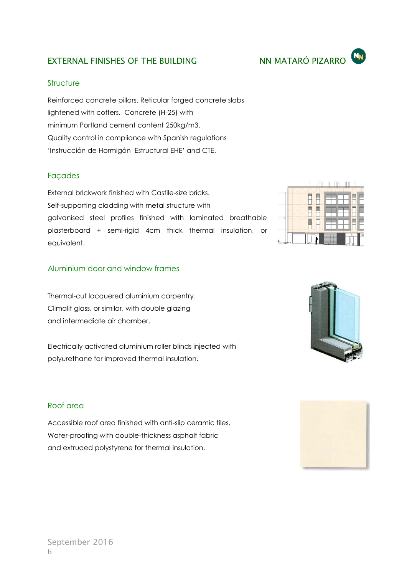#### **Structure**

Reinforced concrete pillars. Reticular forged concrete slabs lightened with coffers. Concrete (H-25) with minimum Portland cement content 250kg/m3. Quality control in compliance with Spanish regulations 'Instrucción de Hormigón Estructural EHE' and CTE.

### Façades

External brickwork finished with Castile-size bricks. Self-supporting cladding with metal structure with galvanised steel profiles finished with laminated breathable plasterboard + semi-rigid 4cm thick thermal insulation, or equivalent.

### Aluminium door and window frames

Thermal-cut lacquered aluminium carpentry. Climalit glass, or similar, with double glazing and intermediate air chamber.

Electrically activated aluminium roller blinds injected with polyurethane for improved thermal insulation.

#### Roof area

Accessible roof area finished with anti-slip ceramic tiles. Water-proofing with double-thickness asphalt fabric and extruded polystyrene for thermal insulation.







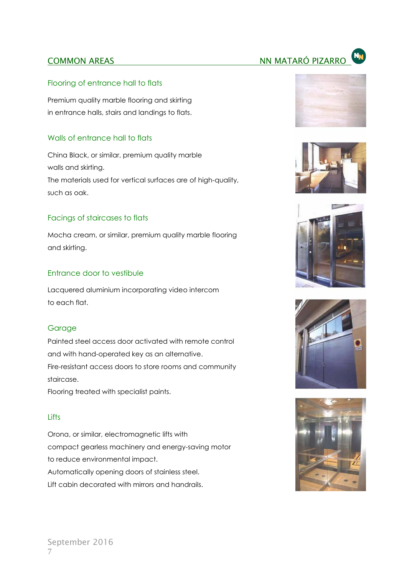# **COMMON AREAS** NN MATARÓ PIZARRO

#### Flooring of entrance hall to flats

Premium quality marble flooring and skirting in entrance halls, stairs and landings to flats.

#### Walls of entrance hall to flats

China Black, or similar, premium quality marble walls and skirting. The materials used for vertical surfaces are of high-quality, such as oak.

#### Facings of staircases to flats

Mocha cream, or similar, premium quality marble flooring and skirting.

#### Entrance door to vestibule

Lacquered aluminium incorporating video intercom to each flat.

#### **Garage**

Painted steel access door activated with remote control and with hand-operated key as an alternative. Fire-resistant access doors to store rooms and community staircase.

Flooring treated with specialist paints.

#### **Lifts**

Orona, or similar, electromagnetic lifts with compact gearless machinery and energy-saving motor to reduce environmental impact. Automatically opening doors of stainless steel. Lift cabin decorated with mirrors and handrails.









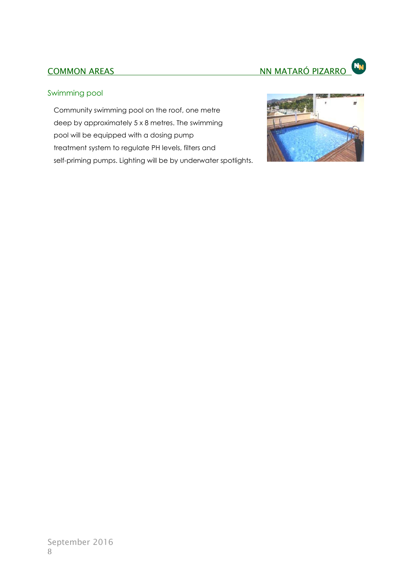#### Swimming pool

Community swimming pool on the roof, one metre deep by approximately 5 x 8 metres. The swimming pool will be equipped with a dosing pump treatment system to regulate PH levels, filters and self-priming pumps. Lighting will be by underwater spotlights.

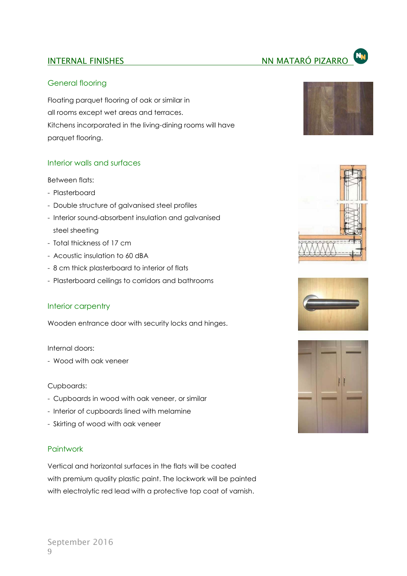#### General flooring

Floating parquet flooring of oak or similar in all rooms except wet areas and terraces. Kitchens incorporated in the living-dining rooms will have parquet flooring.

#### Interior walls and surfaces

Between flats:

- Plasterboard
- Double structure of galvanised steel profiles
- Interior sound-absorbent insulation and galvanised steel sheeting
- Total thickness of 17 cm
- Acoustic insulation to 60 dBA
- 8 cm thick plasterboard to interior of flats
- Plasterboard ceilings to corridors and bathrooms

#### Interior carpentry

Wooden entrance door with security locks and hinges.

#### Internal doors:

- Wood with oak veneer

#### Cupboards:

- Cupboards in wood with oak veneer, or similar
- Interior of cupboards lined with melamine
- Skirting of wood with oak veneer

#### Paintwork

Vertical and horizontal surfaces in the flats will be coated with premium quality plastic paint. The lockwork will be painted with electrolytic red lead with a protective top coat of varnish.









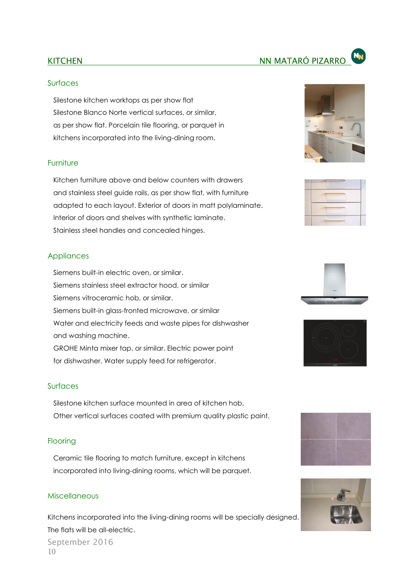#### Surfaces

Silestone kitchen worktops as per show flat Silestone Blanco Norte vertical surfaces, or similar, as per show flat. Porcelain tile flooring, or parquet in kitchens incorporated into the living-dining room.

#### Furniture

Kitchen furniture above and below counters with drawers and stainless steel guide rails, as per show flat, with furniture adapted to each layout. Exterior of doors in matt polylaminate. Interior of doors and shelves with synthetic laminate. Stainless steel handles and concealed hinges.

#### **Appliances**

Siemens built-in electric oven, or similar. Siemens stainless steel extractor hood, or similar Siemens vitroceramic hob, or similar. Siemens built-in glass-fronted microwave, or similar Water and electricity feeds and waste pipes for dishwasher and washing machine. GROHE Minta mixer tap, or similar. Electric power point for dishwasher. Water supply feed for refrigerator.

#### Surfaces

Silestone kitchen surface mounted in area of kitchen hob. Other vertical surfaces coated with premium quality plastic paint.

#### **Flooring**

Ceramic tile flooring to match furniture, except in kitchens incorporated into living-dining rooms, which will be parquet.

#### Miscellaneous

September 2016 10 Kitchens incorporated into the living-dining rooms will be specially designed. The flats will be all-electric.













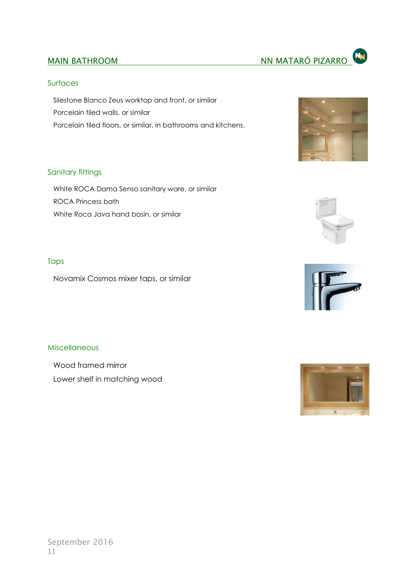#### **Surfaces**

Silestone Blanco Zeus worktop and front, or similar Porcelain tiled walls, or similar Porcelain tiled floors, or similar, in bathrooms and kitchens.



#### Sanitary fittings

White ROCA Dama Senso sanitary ware, or similar ROCA Princess bath White Roca Java hand basin, or similar



Novamix Cosmos mixer taps, or similar

#### Miscellaneous

Wood framed mirror Lower shelf in matching wood





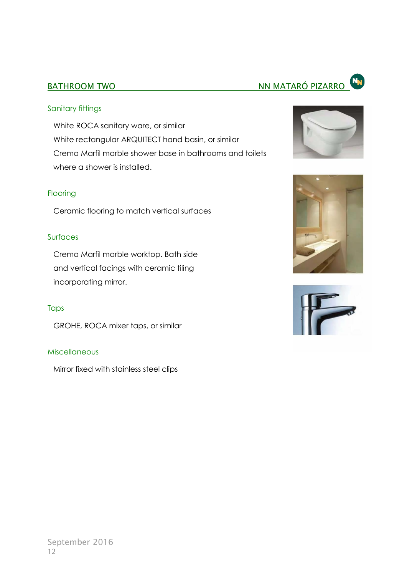# BATHROOM TWO **NATARÓ PIZARROM NA MATARÓ PIZARROM**

### Sanitary fittings

White ROCA sanitary ware, or similar White rectangular ARQUITECT hand basin, or similar Crema Marfil marble shower base in bathrooms and toilets where a shower is installed.

#### Flooring

Ceramic flooring to match vertical surfaces

### Surfaces

Crema Marfil marble worktop. Bath side and vertical facings with ceramic tiling incorporating mirror.

### Taps

GROHE, ROCA mixer taps, or similar

#### Miscellaneous

Mirror fixed with stainless steel clips







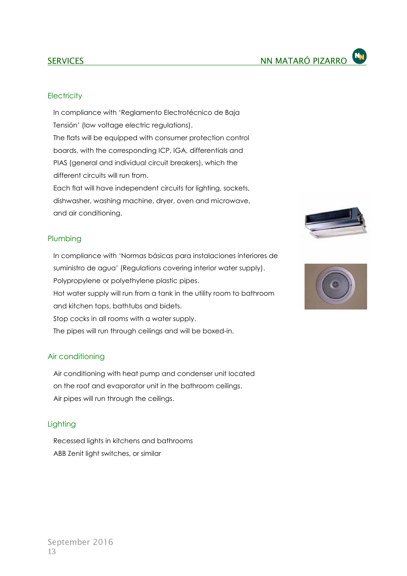In compliance with 'Reglamento Electrotécnico de Baja Tensión' (low voltage electric regulations). The flats will be equipped with consumer protection control boards, with the corresponding ICP, IGA, differentials and PIAS (general and individual circuit breakers), which the different circuits will run from.

Each flat will have independent circuits for lighting, sockets, dishwasher, washing machine, dryer, oven and microwave, and air conditioning.

#### Plumbing

In compliance with 'Normas básicas para instalaciones interiores de suministro de agua' (Regulations covering interior water supply). Polypropylene or polyethylene plastic pipes. Hot water supply will run from a tank in the utility room to bathroom and kitchen tops, bathtubs and bidets. Stop cocks in all rooms with a water supply. The pipes will run through ceilings and will be boxed-in.

#### Air conditioning

Air conditioning with heat pump and condenser unit located on the roof and evaporator unit in the bathroom ceilings. Air pipes will run through the ceilings.

#### **Lighting**

Recessed lights in kitchens and bathrooms ABB Zenit light switches, or similar





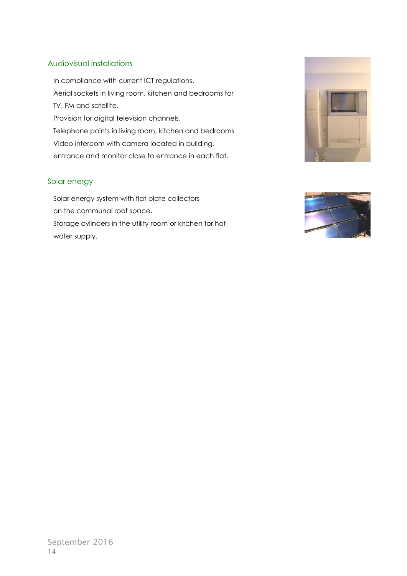#### Audiovisual installations

In compliance with current ICT regulations. Aerial sockets in living room, kitchen and bedrooms for TV, FM and satellite. Provision for digital television channels. Telephone points in living room, kitchen and bedrooms Video intercom with camera located in building. entrance and monitor close to entrance in each flat.

#### Solar energy

Solar energy system with flat plate collectors on the communal roof space. Storage cylinders in the utility room or kitchen for hot water supply.



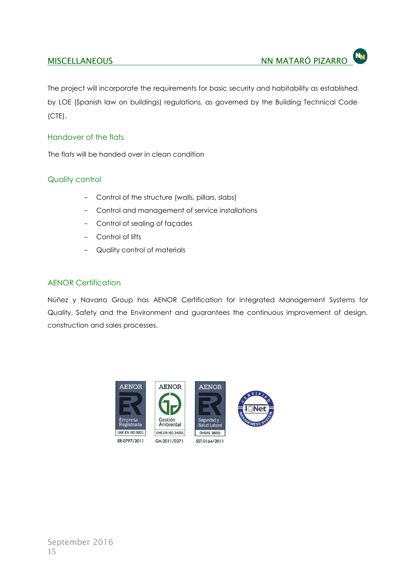The project will incorporate the requirements for basic security and habitability as established by LOE (Spanish law on buildings) regulations, as governed by the Building Technical Code (CTE).

#### Handover of the flats

The flats will be handed over in clean condition

#### Quality control

- Control of the structure (walls, pillars, slabs)
- Control and management of service installations
- Control of sealing of façades
- Control of lifts
- Quality control of materials

#### AENOR Certification

Núñez y Navarro Group has AENOR Certification for Integrated Management Systems for Quality, Safety and the Environment and guarantees the continuous improvement of design, construction and sales processes.